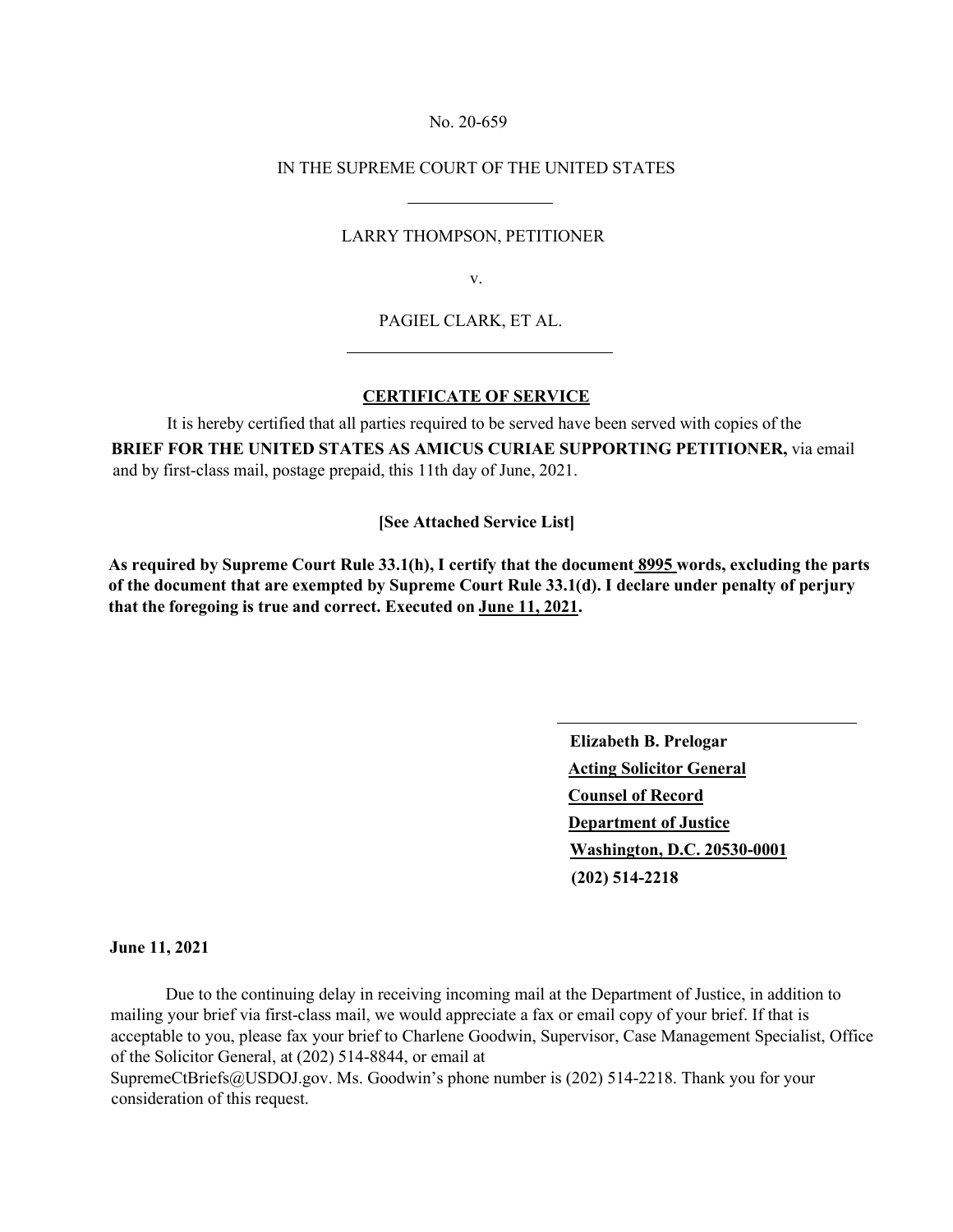#### No. 20-659

## IN THE SUPREME COURT OF THE UNITED STATES

## LARRY THOMPSON, PETITIONER

v.

## PAGIEL CLARK, ET AL.

# **CERTIFICATE OF SERVICE**

It is hereby certified that all parties required to be served have been served with copies of the **BRIEF FOR THE UNITED STATES AS AMICUS CURIAE SUPPORTING PETITIONER,** via email and by first-class mail, postage prepaid, this 11th day of June, 2021.

**[See Attached Service List]**

**As required by Supreme Court Rule 33.1(h), I certify that the document 8995 words, excluding the parts of the document that are exempted by Supreme Court Rule 33.1(d). I declare under penalty of perjury that the foregoing is true and correct. Executed on June 11, 2021.** 

> **Elizabeth B. Prelogar Acting Solicitor General Counsel of Record Department of Justice Washington, D.C. 20530-0001 (202) 514-2218**

#### **June 11, 2021**

Due to the continuing delay in receiving incoming mail at the Department of Justice, in addition to mailing your brief via first-class mail, we would appreciate a fax or email copy of your brief. If that is acceptable to you, please fax your brief to Charlene Goodwin, Supervisor, Case Management Specialist, Office of the Solicitor General, at (202) 514-8844, or email at [SupremeCtBriefs@USDOJ.gov.](mailto:SupremeCtBriefs@USDOJ.gov) Ms. Goodwin's phone number is (202) 514-2218. Thank you for your consideration of this request.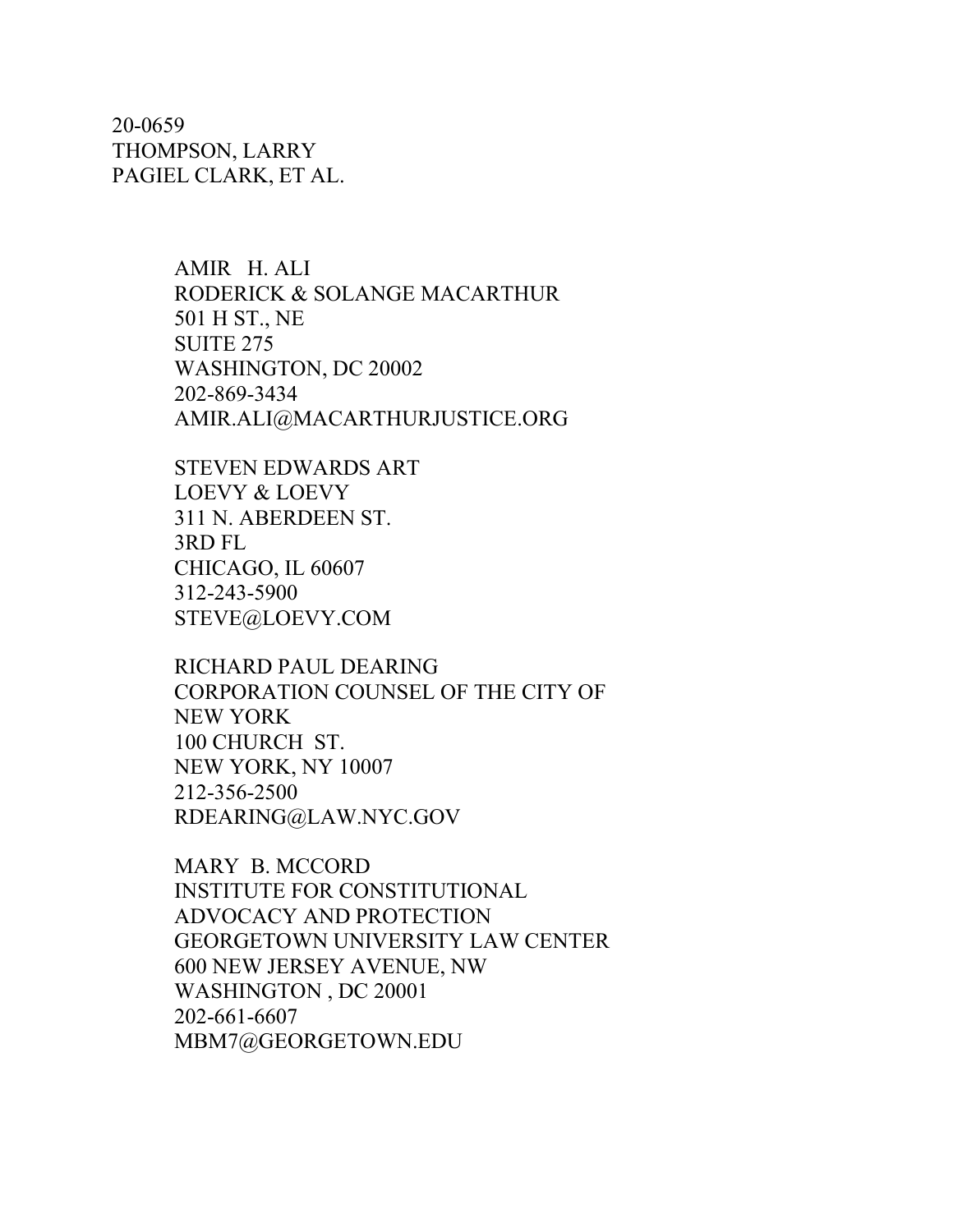20-0659 THOMPSON, LARRY PAGIEL CLARK, ET AL.

> AMIR H. ALI RODERICK & SOLANGE MACARTHUR 501 H ST., NE SUITE 275 WASHINGTON, DC 20002 202-869-3434 [AMIR.ALI@MACARTHURJUSTICE.ORG](mailto:AMIR.ALI@MACARTHURJUSTICE.ORG)

STEVEN EDWARDS ART LOEVY & LOEVY 311 N. ABERDEEN ST. 3RD FL CHICAGO, IL 60607 312-243-5900 [STEVE@LOEVY.COM](mailto:STEVE@LOEVY.COM)

RICHARD PAUL DEARING CORPORATION COUNSEL OF THE CITY OF NEW YORK 100 CHURCH ST. NEW YORK, NY 10007 212-356-2500 [RDEARING@LAW.NYC.GOV](mailto:RDEARING@LAW.NYC.GOV)

MARY B. MCCORD INSTITUTE FOR CONSTITUTIONAL ADVOCACY AND PROTECTION GEORGETOWN UNIVERSITY LAW CENTER 600 NEW JERSEY AVENUE, NW WASHINGTON , DC 20001 202-661-6607 [MBM7@GEORGETOWN.EDU](mailto:MBM7@GEORGETOWN.EDU)